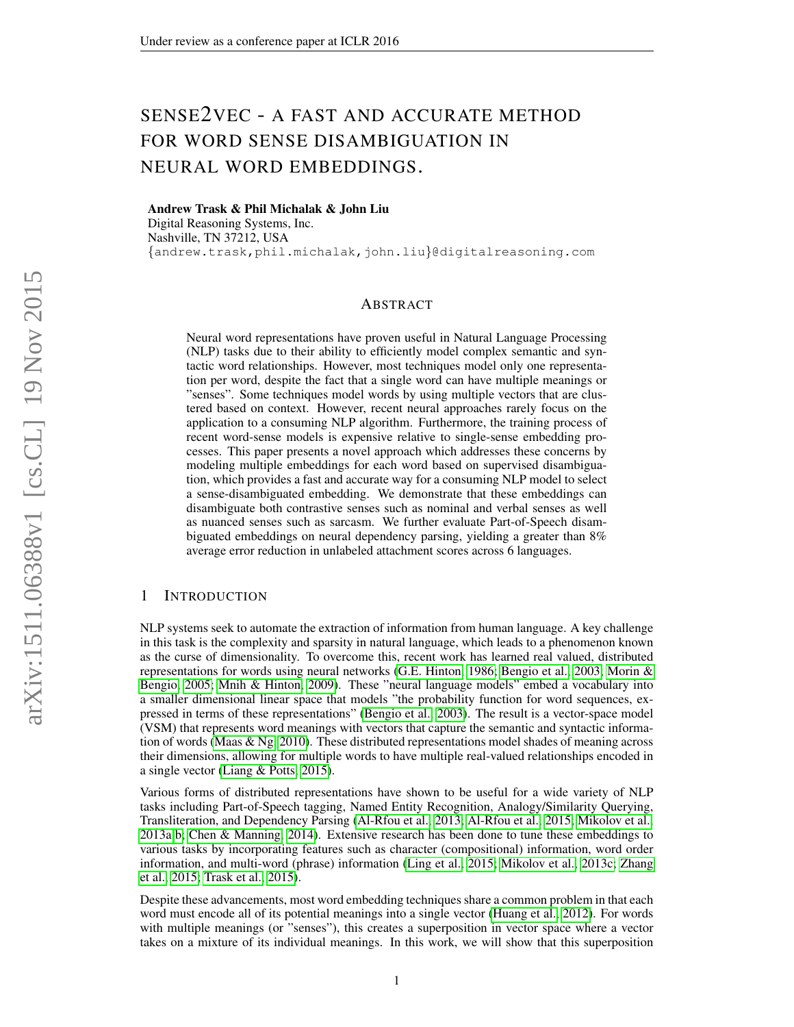# SENSE2VEC - A FAST AND ACCURATE METHOD FOR WORD SENSE DISAMBIGUATION IN NEURAL WORD EMBEDDINGS.

Andrew Trask & Phil Michalak & John Liu

Digital Reasoning Systems, Inc. Nashville, TN 37212, USA {andrew.trask,phil.michalak,john.liu}@digitalreasoning.com

#### ABSTRACT

Neural word representations have proven useful in Natural Language Processing (NLP) tasks due to their ability to efficiently model complex semantic and syntactic word relationships. However, most techniques model only one representation per word, despite the fact that a single word can have multiple meanings or "senses". Some techniques model words by using multiple vectors that are clustered based on context. However, recent neural approaches rarely focus on the application to a consuming NLP algorithm. Furthermore, the training process of recent word-sense models is expensive relative to single-sense embedding processes. This paper presents a novel approach which addresses these concerns by modeling multiple embeddings for each word based on supervised disambiguation, which provides a fast and accurate way for a consuming NLP model to select a sense-disambiguated embedding. We demonstrate that these embeddings can disambiguate both contrastive senses such as nominal and verbal senses as well as nuanced senses such as sarcasm. We further evaluate Part-of-Speech disambiguated embeddings on neural dependency parsing, yielding a greater than 8% average error reduction in unlabeled attachment scores across 6 languages.

# 1 INTRODUCTION

NLP systems seek to automate the extraction of information from human language. A key challenge in this task is the complexity and sparsity in natural language, which leads to a phenomenon known as the curse of dimensionality. To overcome this, recent work has learned real valued, distributed representations for words using neural networks [\(G.E. Hinton, 1986;](#page-7-0) [Bengio et al., 2003;](#page-6-0) [Morin &](#page-7-1) [Bengio, 2005;](#page-7-1) [Mnih & Hinton, 2009\)](#page-7-2). These "neural language models" embed a vocabulary into a smaller dimensional linear space that models "the probability function for word sequences, expressed in terms of these representations" [\(Bengio et al., 2003\)](#page-6-0). The result is a vector-space model (VSM) that represents word meanings with vectors that capture the semantic and syntactic information of words [\(Maas & Ng, 2010\)](#page-7-3). These distributed representations model shades of meaning across their dimensions, allowing for multiple words to have multiple real-valued relationships encoded in a single vector [\(Liang & Potts, 2015\)](#page-7-4).

Various forms of distributed representations have shown to be useful for a wide variety of NLP tasks including Part-of-Speech tagging, Named Entity Recognition, Analogy/Similarity Querying, Transliteration, and Dependency Parsing [\(Al-Rfou et al., 2013;](#page-6-1) [Al-Rfou et al., 2015;](#page-6-2) [Mikolov et al.,](#page-7-5) [2013a](#page-7-5)[;b;](#page-7-6) [Chen & Manning, 2014\)](#page-7-7). Extensive research has been done to tune these embeddings to various tasks by incorporating features such as character (compositional) information, word order information, and multi-word (phrase) information [\(Ling et al., 2015;](#page-7-8) [Mikolov et al., 2013c;](#page-7-9) [Zhang](#page-8-0) [et al., 2015;](#page-8-0) [Trask et al., 2015\)](#page-8-1).

Despite these advancements, most word embedding techniques share a common problem in that each word must encode all of its potential meanings into a single vector [\(Huang et al., 2012\)](#page-7-10). For words with multiple meanings (or "senses"), this creates a superposition in vector space where a vector takes on a mixture of its individual meanings. In this work, we will show that this superposition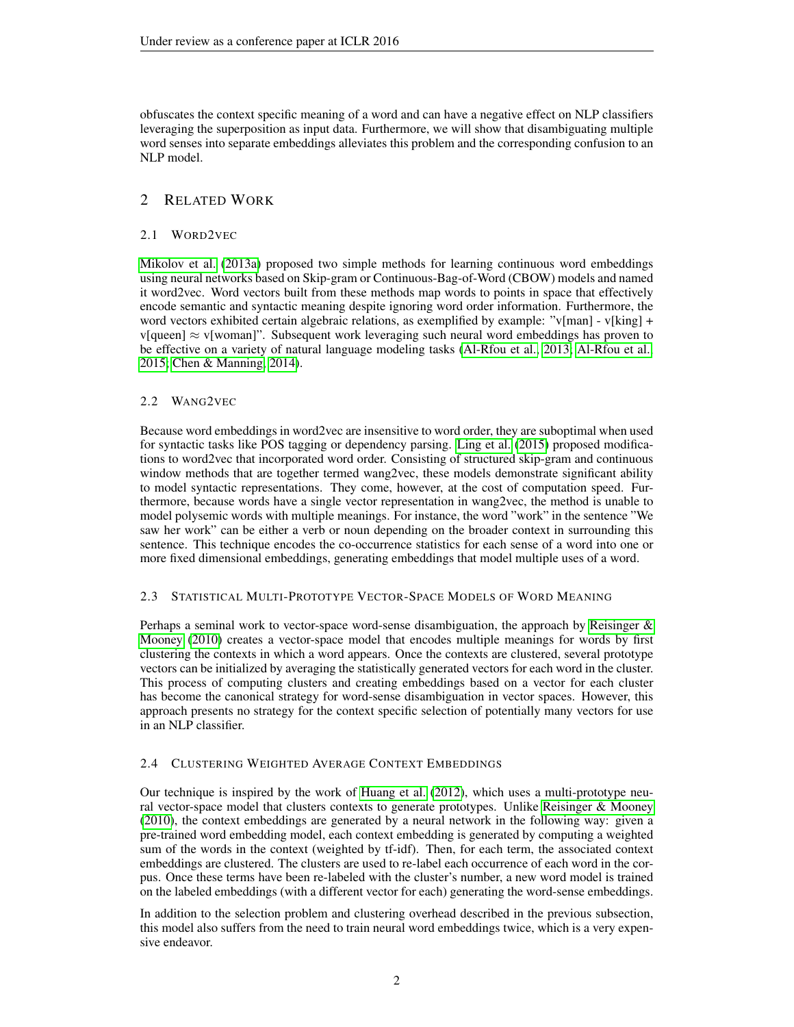obfuscates the context specific meaning of a word and can have a negative effect on NLP classifiers leveraging the superposition as input data. Furthermore, we will show that disambiguating multiple word senses into separate embeddings alleviates this problem and the corresponding confusion to an NLP model.

# 2 RELATED WORK

## 2.1 WORD2VEC

[Mikolov et al.](#page-7-5) [\(2013a\)](#page-7-5) proposed two simple methods for learning continuous word embeddings using neural networks based on Skip-gram or Continuous-Bag-of-Word (CBOW) models and named it word2vec. Word vectors built from these methods map words to points in space that effectively encode semantic and syntactic meaning despite ignoring word order information. Furthermore, the word vectors exhibited certain algebraic relations, as exemplified by example: "v[man] - v[king] + v[queen]  $\approx$  v[woman]". Subsequent work leveraging such neural word embeddings has proven to be effective on a variety of natural language modeling tasks [\(Al-Rfou et al., 2013;](#page-6-1) [Al-Rfou et al.,](#page-6-2) [2015;](#page-6-2) [Chen & Manning, 2014\)](#page-7-7).

# 2.2 WANG2VEC

Because word embeddings in word2vec are insensitive to word order, they are suboptimal when used for syntactic tasks like POS tagging or dependency parsing. [Ling et al.](#page-7-8) [\(2015\)](#page-7-8) proposed modifications to word2vec that incorporated word order. Consisting of structured skip-gram and continuous window methods that are together termed wang2vec, these models demonstrate significant ability to model syntactic representations. They come, however, at the cost of computation speed. Furthermore, because words have a single vector representation in wang2vec, the method is unable to model polysemic words with multiple meanings. For instance, the word "work" in the sentence "We saw her work" can be either a verb or noun depending on the broader context in surrounding this sentence. This technique encodes the co-occurrence statistics for each sense of a word into one or more fixed dimensional embeddings, generating embeddings that model multiple uses of a word.

#### 2.3 STATISTICAL MULTI-PROTOTYPE VECTOR-SPACE MODELS OF WORD MEANING

Perhaps a seminal work to vector-space word-sense disambiguation, the approach by Reisinger  $\&$ [Mooney](#page-7-11) [\(2010\)](#page-7-11) creates a vector-space model that encodes multiple meanings for words by first clustering the contexts in which a word appears. Once the contexts are clustered, several prototype vectors can be initialized by averaging the statistically generated vectors for each word in the cluster. This process of computing clusters and creating embeddings based on a vector for each cluster has become the canonical strategy for word-sense disambiguation in vector spaces. However, this approach presents no strategy for the context specific selection of potentially many vectors for use in an NLP classifier.

#### 2.4 CLUSTERING WEIGHTED AVERAGE CONTEXT EMBEDDINGS

Our technique is inspired by the work of [Huang et al.](#page-7-10) [\(2012\)](#page-7-10), which uses a multi-prototype neural vector-space model that clusters contexts to generate prototypes. Unlike [Reisinger & Mooney](#page-7-11) [\(2010\)](#page-7-11), the context embeddings are generated by a neural network in the following way: given a pre-trained word embedding model, each context embedding is generated by computing a weighted sum of the words in the context (weighted by tf-idf). Then, for each term, the associated context embeddings are clustered. The clusters are used to re-label each occurrence of each word in the corpus. Once these terms have been re-labeled with the cluster's number, a new word model is trained on the labeled embeddings (with a different vector for each) generating the word-sense embeddings.

In addition to the selection problem and clustering overhead described in the previous subsection, this model also suffers from the need to train neural word embeddings twice, which is a very expensive endeavor.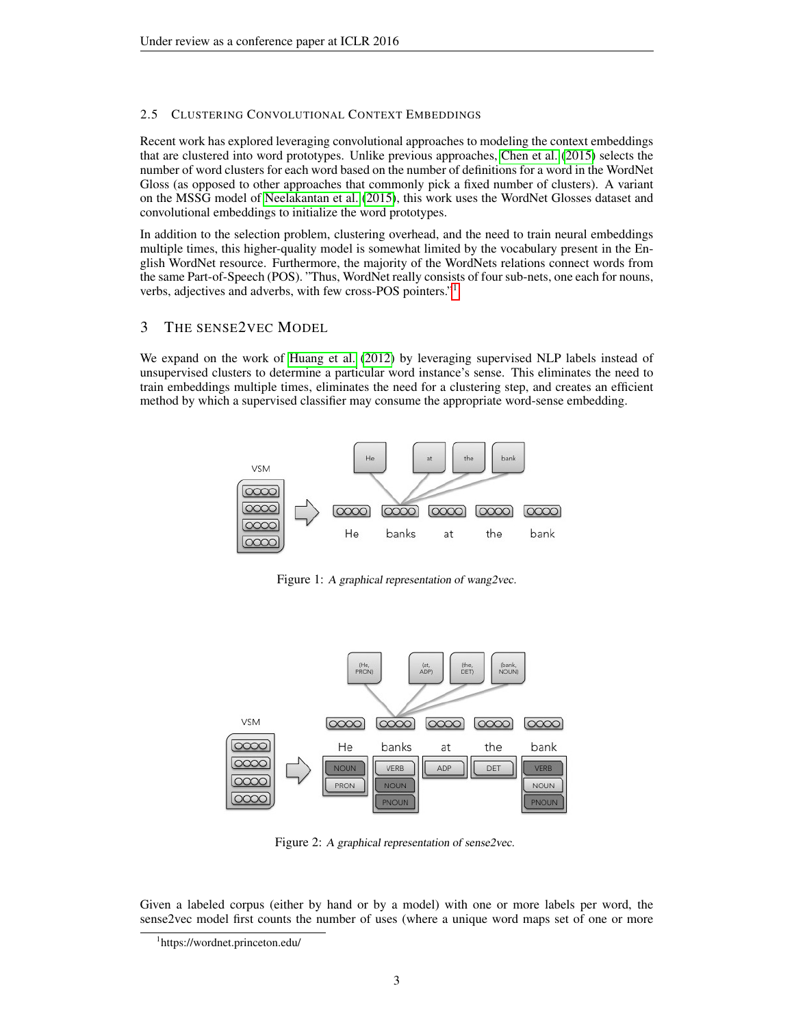## 2.5 CLUSTERING CONVOLUTIONAL CONTEXT EMBEDDINGS

Recent work has explored leveraging convolutional approaches to modeling the context embeddings that are clustered into word prototypes. Unlike previous approaches, [Chen et al.](#page-7-12) [\(2015\)](#page-7-12) selects the number of word clusters for each word based on the number of definitions for a word in the WordNet Gloss (as opposed to other approaches that commonly pick a fixed number of clusters). A variant on the MSSG model of [Neelakantan et al.](#page-7-13) [\(2015\)](#page-7-13), this work uses the WordNet Glosses dataset and convolutional embeddings to initialize the word prototypes.

In addition to the selection problem, clustering overhead, and the need to train neural embeddings multiple times, this higher-quality model is somewhat limited by the vocabulary present in the English WordNet resource. Furthermore, the majority of the WordNets relations connect words from the same Part-of-Speech (POS). "Thus, WordNet really consists of four sub-nets, one each for nouns, verbs, adjectives and adverbs, with few cross-POS pointers."[1](#page-2-0)

# 3 THE SENSE2VEC MODEL

We expand on the work of [Huang et al.](#page-7-10) [\(2012\)](#page-7-10) by leveraging supervised NLP labels instead of unsupervised clusters to determine a particular word instance's sense. This eliminates the need to train embeddings multiple times, eliminates the need for a clustering step, and creates an efficient method by which a supervised classifier may consume the appropriate word-sense embedding.



Figure 1: A graphical representation of wang2vec.



Figure 2: A graphical representation of sense2vec.

Given a labeled corpus (either by hand or by a model) with one or more labels per word, the sense2vec model first counts the number of uses (where a unique word maps set of one or more

<span id="page-2-0"></span><sup>1</sup> https://wordnet.princeton.edu/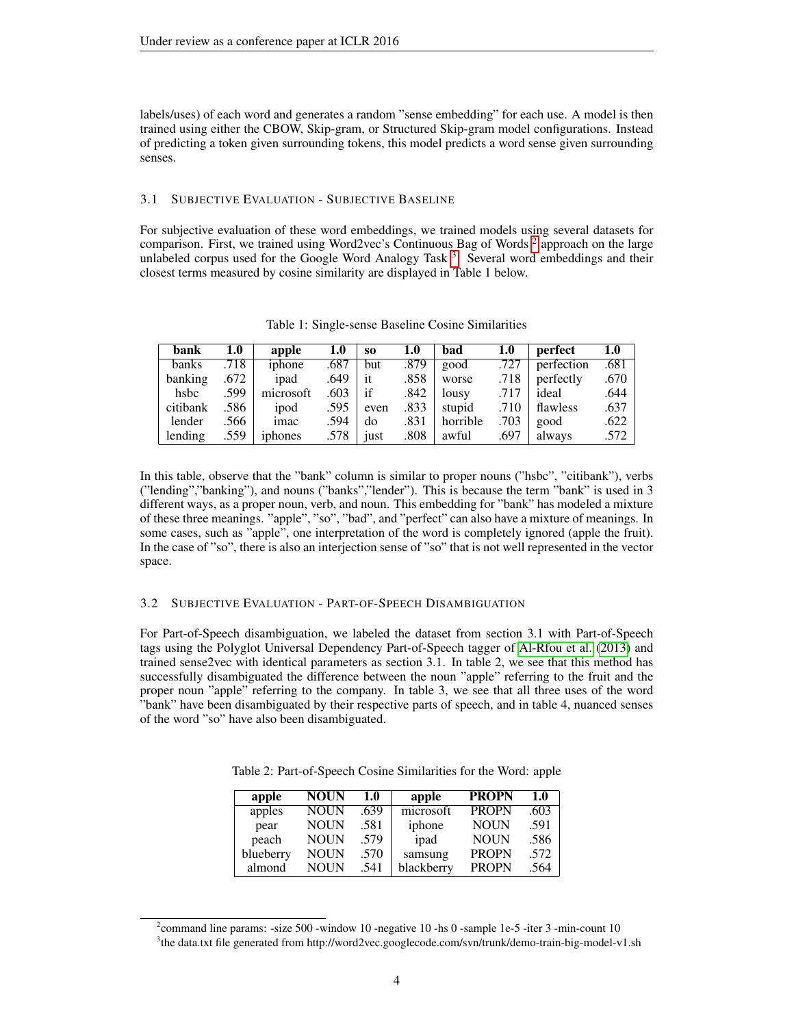labels/uses) of each word and generates a random "sense embedding" for each use. A model is then trained using either the CBOW, Skip-gram, or Structured Skip-gram model configurations. Instead of predicting a token given surrounding tokens, this model predicts a word sense given surrounding senses.

#### 3.1 SUBJECTIVE EVALUATION - SUBJECTIVE BASELINE

For subjective evaluation of these word embeddings, we trained models using several datasets for comparison. First, we trained using Word[2](#page-3-0)vec's Continuous Bag of Words<sup>2</sup> approach on the large unlabeled corpus used for the Google Word Analogy Task<sup>[3](#page-3-1)</sup>. Several word embeddings and their closest terms measured by cosine similarity are displayed in Table 1 below.

| bank     | 1.0  | apple     | 1.0  | S <sub>0</sub> | 1.0  | bad      | 1.0  | perfect    | 1.0  |
|----------|------|-----------|------|----------------|------|----------|------|------------|------|
| banks    | .718 | iphone    | .687 | but            | .879 | good     | .727 | perfection | .681 |
| banking  | .672 | ipad      | .649 | it             | .858 | worse    | .718 | perfectly  | .670 |
| hsbc     | .599 | microsoft | .603 | if             | .842 | lousy    | .717 | ideal      | .644 |
| citibank | .586 | ipod      | .595 | even           | .833 | stupid   | .710 | flawless   | .637 |
| lender   | .566 | imac      | .594 | do             | .831 | horrible | .703 | good       | .622 |
| lending  | .559 | iphones   | .578 | just           | .808 | awful    | .697 | always     | .572 |

Table 1: Single-sense Baseline Cosine Similarities

In this table, observe that the "bank" column is similar to proper nouns ("hsbc", "citibank"), verbs ("lending","banking"), and nouns ("banks","lender"). This is because the term "bank" is used in 3 different ways, as a proper noun, verb, and noun. This embedding for "bank" has modeled a mixture of these three meanings. "apple", "so", "bad", and "perfect" can also have a mixture of meanings. In some cases, such as "apple", one interpretation of the word is completely ignored (apple the fruit). In the case of "so", there is also an interjection sense of "so" that is not well represented in the vector space.

#### 3.2 SUBJECTIVE EVALUATION - PART-OF-SPEECH DISAMBIGUATION

For Part-of-Speech disambiguation, we labeled the dataset from section 3.1 with Part-of-Speech tags using the Polyglot Universal Dependency Part-of-Speech tagger of [Al-Rfou et al.](#page-6-1) [\(2013\)](#page-6-1) and trained sense2vec with identical parameters as section 3.1. In table 2, we see that this method has successfully disambiguated the difference between the noun "apple" referring to the fruit and the proper noun "apple" referring to the company. In table 3, we see that all three uses of the word "bank" have been disambiguated by their respective parts of speech, and in table 4, nuanced senses of the word "so" have also been disambiguated.

Table 2: Part-of-Speech Cosine Similarities for the Word: apple

| apple     | <b>NOUN</b> | 1.0  | apple      | <b>PROPN</b> | 1.0  |
|-----------|-------------|------|------------|--------------|------|
| apples    | <b>NOUN</b> | .639 | microsoft  | <b>PROPN</b> | .603 |
| pear      | <b>NOUN</b> | .581 | iphone     | <b>NOUN</b>  | .591 |
| peach     | <b>NOUN</b> | .579 | ipad       | <b>NOUN</b>  | .586 |
| blueberry | <b>NOUN</b> | .570 | samsung    | <b>PROPN</b> | .572 |
| almond    | <b>NOUN</b> | .541 | blackberry | <b>PROPN</b> | .564 |

<span id="page-3-1"></span><span id="page-3-0"></span><sup>&</sup>lt;sup>2</sup> command line params: -size 500 -window 10 -negative 10 -hs 0 -sample 1e-5 -iter 3 -min-count 10 <sup>3</sup>the data.txt file generated from http://word2vec.googlecode.com/svn/trunk/demo-train-big-model-v1.sh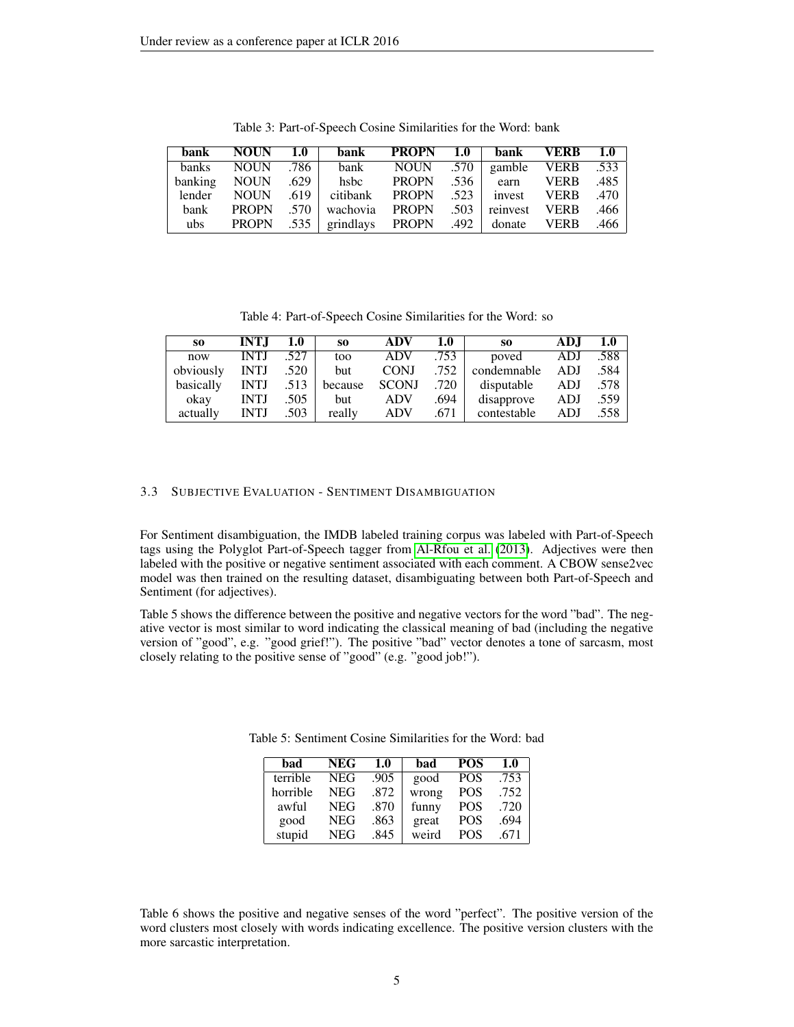| bank         | <b>NOUN</b>  | 1.0 <sub>l</sub> | bank                         | <b>PROPN</b>      | 1.0  | <b>bank</b>   | <b>VERB</b> | 1.0  |
|--------------|--------------|------------------|------------------------------|-------------------|------|---------------|-------------|------|
| <b>banks</b> | <b>NOUN</b>  | .786             | bank                         | NOUN .570         |      | gamble        | <b>VERB</b> | .533 |
| banking      | <b>NOUN</b>  | $.629$           | hsbc                         | <b>PROPN</b>      | .536 | earn          | <b>VERB</b> | .485 |
| lender       | <b>NOUN</b>  | .619             | citibank                     | <b>PROPN</b> .523 |      | invest        | <b>VERB</b> | .470 |
| bank         | <b>PROPN</b> |                  | .570 wachovia                | PROPN             | .503 | reinvest VERB |             | .466 |
| ubs          |              |                  | PROPN .535   grindlays PROPN |                   |      | .492   donate | <b>VERB</b> | .466 |

Table 3: Part-of-Speech Cosine Similarities for the Word: bank

Table 4: Part-of-Speech Cosine Similarities for the Word: so

| SO.       | <b>INTJ</b> | 1.0  | S <sub>0</sub> | ADV          | 1.0  | S <sub>0</sub> | ADJ | 1.0  |
|-----------|-------------|------|----------------|--------------|------|----------------|-----|------|
| now       | <b>INTJ</b> | 527  | too            | <b>ADV</b>   | .753 | poved          | ADJ | .588 |
| obviously | <b>INTJ</b> | .520 | <b>but</b>     | <b>CONJ</b>  | .752 | condemnable    | ADJ | .584 |
| basically | <b>INTJ</b> | .513 | because        | <b>SCONJ</b> | .720 | disputable     | ADJ | .578 |
| okay      | <b>INTJ</b> | .505 | but            | <b>ADV</b>   | .694 | disapprove     | ADJ | .559 |
| actually  | <b>INTJ</b> | .503 | really         | <b>ADV</b>   | .671 | contestable    | ADJ | .558 |

#### 3.3 SUBJECTIVE EVALUATION - SENTIMENT DISAMBIGUATION

For Sentiment disambiguation, the IMDB labeled training corpus was labeled with Part-of-Speech tags using the Polyglot Part-of-Speech tagger from [Al-Rfou et al.](#page-6-1) [\(2013\)](#page-6-1). Adjectives were then labeled with the positive or negative sentiment associated with each comment. A CBOW sense2vec model was then trained on the resulting dataset, disambiguating between both Part-of-Speech and Sentiment (for adjectives).

Table 5 shows the difference between the positive and negative vectors for the word "bad". The negative vector is most similar to word indicating the classical meaning of bad (including the negative version of "good", e.g. "good grief!"). The positive "bad" vector denotes a tone of sarcasm, most closely relating to the positive sense of "good" (e.g. "good job!").

| bad      | <b>NEG</b> | 1.0  | bad   | <b>POS</b> | 1.0  |
|----------|------------|------|-------|------------|------|
| terrible | <b>NEG</b> | .905 | good  | <b>POS</b> | .753 |
| horrible | <b>NEG</b> | .872 | wrong | <b>POS</b> | .752 |
| awful    | <b>NEG</b> | .870 | funny | <b>POS</b> | .720 |
| good     | NEG        | .863 | great | <b>POS</b> | .694 |
| stupid   | NEG        | .845 | weird | <b>POS</b> | .671 |

Table 5: Sentiment Cosine Similarities for the Word: bad

Table 6 shows the positive and negative senses of the word "perfect". The positive version of the word clusters most closely with words indicating excellence. The positive version clusters with the more sarcastic interpretation.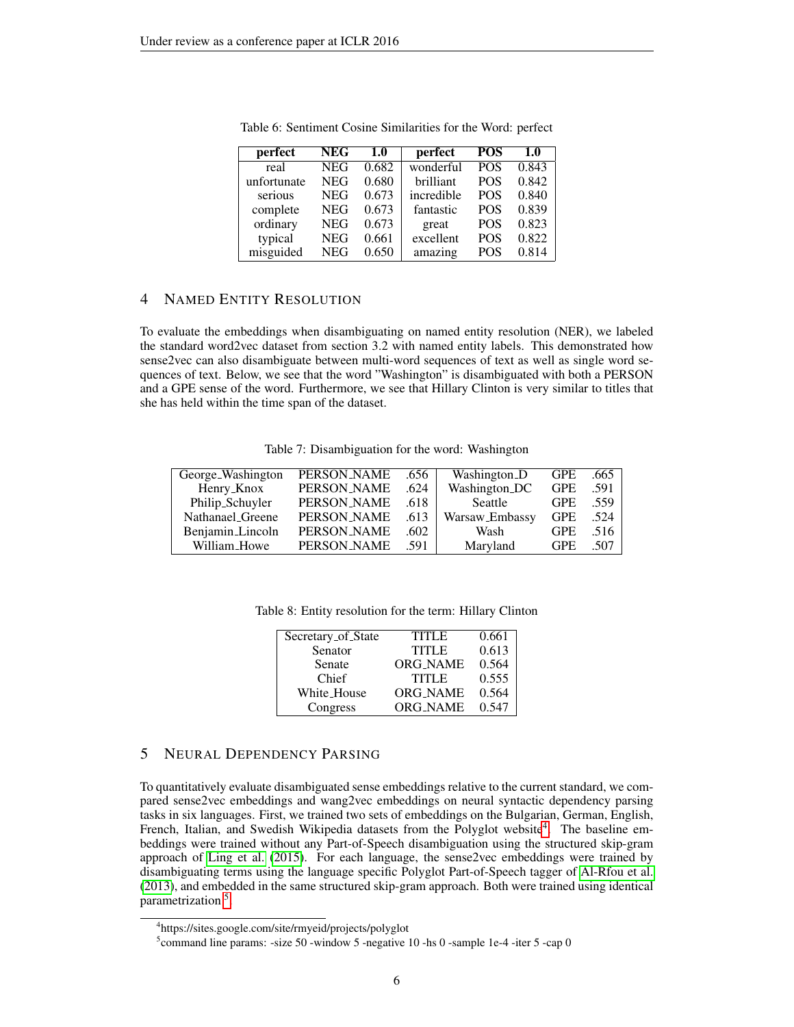| perfect     | <b>NEG</b> | 1.0   | perfect    | <b>POS</b> | 1.0   |
|-------------|------------|-------|------------|------------|-------|
| real        | <b>NEG</b> | 0.682 | wonderful  | <b>POS</b> | 0.843 |
| unfortunate | <b>NEG</b> | 0.680 | brilliant  | <b>POS</b> | 0.842 |
| serious     | <b>NEG</b> | 0.673 | incredible | <b>POS</b> | 0.840 |
| complete    | <b>NEG</b> | 0.673 | fantastic  | <b>POS</b> | 0.839 |
| ordinary    | <b>NEG</b> | 0.673 | great      | <b>POS</b> | 0.823 |
| typical     | <b>NEG</b> | 0.661 | excellent  | <b>POS</b> | 0.822 |
| misguided   | <b>NEG</b> | 0.650 | amazing    | <b>POS</b> | 0.814 |

Table 6: Sentiment Cosine Similarities for the Word: perfect

# 4 NAMED ENTITY RESOLUTION

To evaluate the embeddings when disambiguating on named entity resolution (NER), we labeled the standard word2vec dataset from section 3.2 with named entity labels. This demonstrated how sense2vec can also disambiguate between multi-word sequences of text as well as single word sequences of text. Below, we see that the word "Washington" is disambiguated with both a PERSON and a GPE sense of the word. Furthermore, we see that Hillary Clinton is very similar to titles that she has held within the time span of the dataset.

Table 7: Disambiguation for the word: Washington

| George_Washington | PERSON_NAME | .656 | Washington_D   | <b>GPE</b> | .665 |
|-------------------|-------------|------|----------------|------------|------|
| Henry_Knox        | PERSON_NAME | .624 | Washington_DC  | <b>GPE</b> | .591 |
| Philip_Schuyler   | PERSON_NAME | .618 | Seattle        | <b>GPE</b> | .559 |
| Nathanael_Greene  | PERSON_NAME | .613 | Warsaw_Embassy | <b>GPE</b> | .524 |
| Benjamin_Lincoln  | PERSON_NAME | .602 | Wash           | <b>GPE</b> | .516 |
| William_Howe      | PERSON_NAME | .591 | Maryland       | <b>GPE</b> | .507 |

Table 8: Entity resolution for the term: Hillary Clinton

| Secretary_of_State | <b>TITLE</b>    | 0.661 |
|--------------------|-----------------|-------|
| Senator            | <b>TITLE</b>    | 0.613 |
| Senate             | <b>ORG_NAME</b> | 0.564 |
| Chief              | <b>TITLE</b>    | 0.555 |
| White_House        | <b>ORG NAME</b> | 0.564 |
| Congress           | <b>ORG NAME</b> | 0.547 |

## 5 NEURAL DEPENDENCY PARSING

To quantitatively evaluate disambiguated sense embeddings relative to the current standard, we compared sense2vec embeddings and wang2vec embeddings on neural syntactic dependency parsing tasks in six languages. First, we trained two sets of embeddings on the Bulgarian, German, English, French, Italian, and Swedish Wikipedia datasets from the Polyglot website<sup>[4](#page-5-0)</sup>. The baseline embeddings were trained without any Part-of-Speech disambiguation using the structured skip-gram approach of [Ling et al.](#page-7-8) [\(2015\)](#page-7-8). For each language, the sense2vec embeddings were trained by disambiguating terms using the language specific Polyglot Part-of-Speech tagger of [Al-Rfou et al.](#page-6-1) [\(2013\)](#page-6-1), and embedded in the same structured skip-gram approach. Both were trained using identical parametrization<sup>[5](#page-5-1)</sup>.

<span id="page-5-0"></span><sup>4</sup> https://sites.google.com/site/rmyeid/projects/polyglot

<span id="page-5-1"></span><sup>&</sup>lt;sup>5</sup> command line params: -size 50 -window 5 -negative 10 -hs 0 -sample 1e-4 -iter 5 -cap 0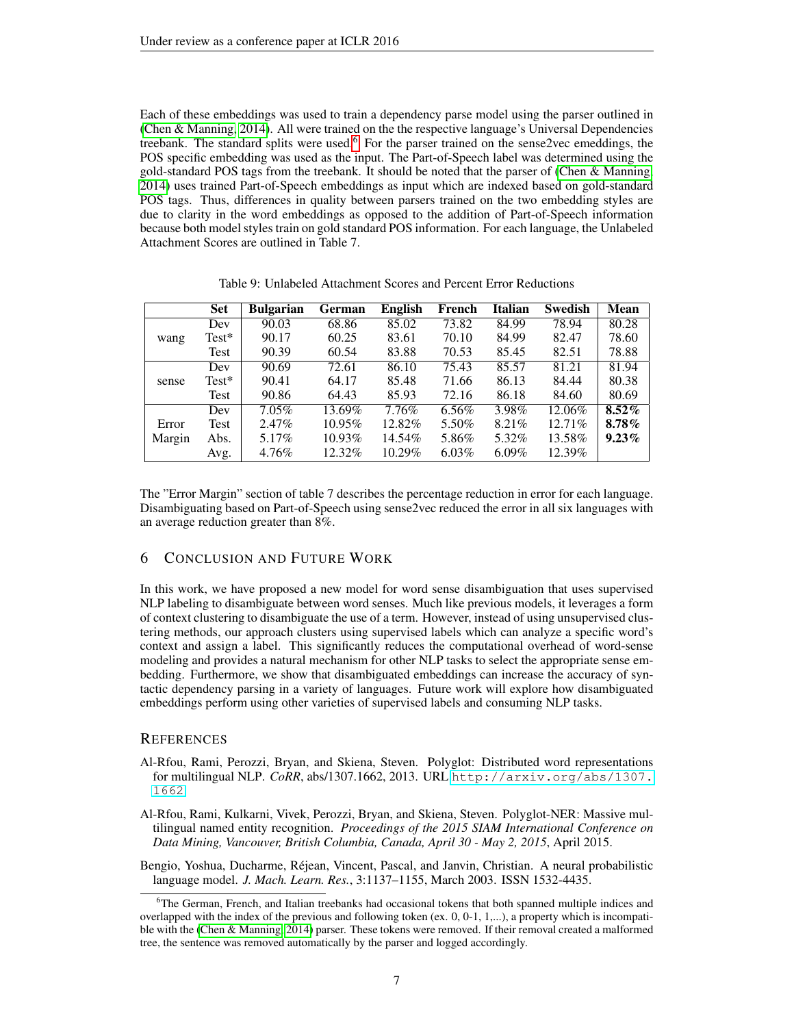Each of these embeddings was used to train a dependency parse model using the parser outlined in [\(Chen & Manning, 2014\)](#page-7-7). All were trained on the the respective language's Universal Dependencies treebank. The standard splits were used.<sup>[6](#page-6-3)</sup> For the parser trained on the sense2vec emeddings, the POS specific embedding was used as the input. The Part-of-Speech label was determined using the gold-standard POS tags from the treebank. It should be noted that the parser of [\(Chen & Manning,](#page-7-7) [2014\)](#page-7-7) uses trained Part-of-Speech embeddings as input which are indexed based on gold-standard POS tags. Thus, differences in quality between parsers trained on the two embedding styles are due to clarity in the word embeddings as opposed to the addition of Part-of-Speech information because both model styles train on gold standard POS information. For each language, the Unlabeled Attachment Scores are outlined in Table 7.

|        | <b>Set</b> | <b>Bulgarian</b> | German    | <b>English</b> | French   | <b>Italian</b> | <b>Swedish</b> | <b>Mean</b> |
|--------|------------|------------------|-----------|----------------|----------|----------------|----------------|-------------|
|        | Dev        | 90.03            | 68.86     | 85.02          | 73.82    | 84.99          | 78.94          | 80.28       |
| wang   | $Test^*$   | 90.17            | 60.25     | 83.61          | 70.10    | 84.99          | 82.47          | 78.60       |
|        | Test       | 90.39            | 60.54     | 83.88          | 70.53    | 85.45          | 82.51          | 78.88       |
|        | Dev        | 90.69            | 72.61     | 86.10          | 75.43    | 85.57          | 81.21          | 81.94       |
| sense  | $Test^*$   | 90.41            | 64.17     | 85.48          | 71.66    | 86.13          | 84.44          | 80.38       |
|        | Test       | 90.86            | 64.43     | 85.93          | 72.16    | 86.18          | 84.60          | 80.69       |
|        | Dev        | $7.05\%$         | 13.69%    | 7.76%          | 6.56%    | 3.98%          | 12.06%         | $8.52\%$    |
| Error  | Test       | 2.47%            | 10.95%    | 12.82%         | 5.50%    | $8.21\%$       | 12.71%         | $8.78\%$    |
| Margin | Abs.       | $5.17\%$         | $10.93\%$ | 14.54%         | 5.86%    | 5.32%          | 13.58%         | $9.23\%$    |
|        | Avg.       | 4.76%            | 12.32%    | 10.29%         | $6.03\%$ | $6.09\%$       | 12.39%         |             |

Table 9: Unlabeled Attachment Scores and Percent Error Reductions

The "Error Margin" section of table 7 describes the percentage reduction in error for each language. Disambiguating based on Part-of-Speech using sense2vec reduced the error in all six languages with an average reduction greater than 8%.

#### 6 CONCLUSION AND FUTURE WORK

In this work, we have proposed a new model for word sense disambiguation that uses supervised NLP labeling to disambiguate between word senses. Much like previous models, it leverages a form of context clustering to disambiguate the use of a term. However, instead of using unsupervised clustering methods, our approach clusters using supervised labels which can analyze a specific word's context and assign a label. This significantly reduces the computational overhead of word-sense modeling and provides a natural mechanism for other NLP tasks to select the appropriate sense embedding. Furthermore, we show that disambiguated embeddings can increase the accuracy of syntactic dependency parsing in a variety of languages. Future work will explore how disambiguated embeddings perform using other varieties of supervised labels and consuming NLP tasks.

#### **REFERENCES**

- <span id="page-6-1"></span>Al-Rfou, Rami, Perozzi, Bryan, and Skiena, Steven. Polyglot: Distributed word representations for multilingual NLP. *CoRR*, abs/1307.1662, 2013. URL [http://arxiv.org/abs/1307.](http://arxiv.org/abs/1307.1662) [1662](http://arxiv.org/abs/1307.1662).
- <span id="page-6-2"></span>Al-Rfou, Rami, Kulkarni, Vivek, Perozzi, Bryan, and Skiena, Steven. Polyglot-NER: Massive multilingual named entity recognition. *Proceedings of the 2015 SIAM International Conference on Data Mining, Vancouver, British Columbia, Canada, April 30 - May 2, 2015*, April 2015.
- <span id="page-6-0"></span>Bengio, Yoshua, Ducharme, Rejean, Vincent, Pascal, and Janvin, Christian. A neural probabilistic ´ language model. *J. Mach. Learn. Res.*, 3:1137–1155, March 2003. ISSN 1532-4435.

<span id="page-6-3"></span><sup>&</sup>lt;sup>6</sup>The German, French, and Italian treebanks had occasional tokens that both spanned multiple indices and overlapped with the index of the previous and following token (ex. 0, 0-1, 1,...), a property which is incompatible with the [\(Chen & Manning, 2014\)](#page-7-7) parser. These tokens were removed. If their removal created a malformed tree, the sentence was removed automatically by the parser and logged accordingly.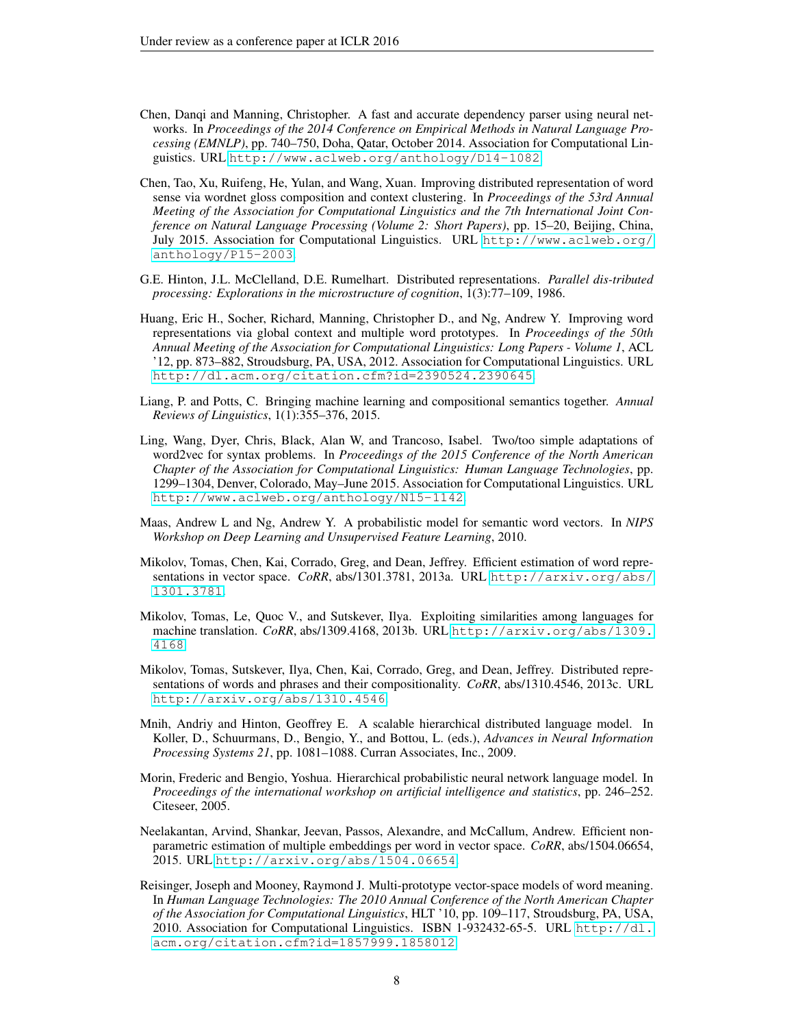- <span id="page-7-7"></span>Chen, Danqi and Manning, Christopher. A fast and accurate dependency parser using neural networks. In *Proceedings of the 2014 Conference on Empirical Methods in Natural Language Processing (EMNLP)*, pp. 740–750, Doha, Qatar, October 2014. Association for Computational Linguistics. URL <http://www.aclweb.org/anthology/D14-1082>.
- <span id="page-7-12"></span>Chen, Tao, Xu, Ruifeng, He, Yulan, and Wang, Xuan. Improving distributed representation of word sense via wordnet gloss composition and context clustering. In *Proceedings of the 53rd Annual Meeting of the Association for Computational Linguistics and the 7th International Joint Conference on Natural Language Processing (Volume 2: Short Papers)*, pp. 15–20, Beijing, China, July 2015. Association for Computational Linguistics. URL [http://www.aclweb.org/](http://www.aclweb.org/anthology/P15-2003) [anthology/P15-2003](http://www.aclweb.org/anthology/P15-2003).
- <span id="page-7-0"></span>G.E. Hinton, J.L. McClelland, D.E. Rumelhart. Distributed representations. *Parallel dis-tributed processing: Explorations in the microstructure of cognition*, 1(3):77–109, 1986.
- <span id="page-7-10"></span>Huang, Eric H., Socher, Richard, Manning, Christopher D., and Ng, Andrew Y. Improving word representations via global context and multiple word prototypes. In *Proceedings of the 50th Annual Meeting of the Association for Computational Linguistics: Long Papers - Volume 1*, ACL '12, pp. 873–882, Stroudsburg, PA, USA, 2012. Association for Computational Linguistics. URL <http://dl.acm.org/citation.cfm?id=2390524.2390645>.
- <span id="page-7-4"></span>Liang, P. and Potts, C. Bringing machine learning and compositional semantics together. *Annual Reviews of Linguistics*, 1(1):355–376, 2015.
- <span id="page-7-8"></span>Ling, Wang, Dyer, Chris, Black, Alan W, and Trancoso, Isabel. Two/too simple adaptations of word2vec for syntax problems. In *Proceedings of the 2015 Conference of the North American Chapter of the Association for Computational Linguistics: Human Language Technologies*, pp. 1299–1304, Denver, Colorado, May–June 2015. Association for Computational Linguistics. URL <http://www.aclweb.org/anthology/N15-1142>.
- <span id="page-7-3"></span>Maas, Andrew L and Ng, Andrew Y. A probabilistic model for semantic word vectors. In *NIPS Workshop on Deep Learning and Unsupervised Feature Learning*, 2010.
- <span id="page-7-5"></span>Mikolov, Tomas, Chen, Kai, Corrado, Greg, and Dean, Jeffrey. Efficient estimation of word representations in vector space. *CoRR*, abs/1301.3781, 2013a. URL [http://arxiv.org/abs/](http://arxiv.org/abs/1301.3781) [1301.3781](http://arxiv.org/abs/1301.3781).
- <span id="page-7-6"></span>Mikolov, Tomas, Le, Quoc V., and Sutskever, Ilya. Exploiting similarities among languages for machine translation. *CoRR*, abs/1309.4168, 2013b. URL [http://arxiv.org/abs/1309.](http://arxiv.org/abs/1309.4168) [4168](http://arxiv.org/abs/1309.4168).
- <span id="page-7-9"></span>Mikolov, Tomas, Sutskever, Ilya, Chen, Kai, Corrado, Greg, and Dean, Jeffrey. Distributed representations of words and phrases and their compositionality. *CoRR*, abs/1310.4546, 2013c. URL <http://arxiv.org/abs/1310.4546>.
- <span id="page-7-2"></span>Mnih, Andriy and Hinton, Geoffrey E. A scalable hierarchical distributed language model. In Koller, D., Schuurmans, D., Bengio, Y., and Bottou, L. (eds.), *Advances in Neural Information Processing Systems 21*, pp. 1081–1088. Curran Associates, Inc., 2009.
- <span id="page-7-1"></span>Morin, Frederic and Bengio, Yoshua. Hierarchical probabilistic neural network language model. In *Proceedings of the international workshop on artificial intelligence and statistics*, pp. 246–252. Citeseer, 2005.
- <span id="page-7-13"></span>Neelakantan, Arvind, Shankar, Jeevan, Passos, Alexandre, and McCallum, Andrew. Efficient nonparametric estimation of multiple embeddings per word in vector space. *CoRR*, abs/1504.06654, 2015. URL <http://arxiv.org/abs/1504.06654>.
- <span id="page-7-11"></span>Reisinger, Joseph and Mooney, Raymond J. Multi-prototype vector-space models of word meaning. In *Human Language Technologies: The 2010 Annual Conference of the North American Chapter of the Association for Computational Linguistics*, HLT '10, pp. 109–117, Stroudsburg, PA, USA, 2010. Association for Computational Linguistics. ISBN 1-932432-65-5. URL [http://dl.](http://dl.acm.org/citation.cfm?id=1857999.1858012) [acm.org/citation.cfm?id=1857999.1858012](http://dl.acm.org/citation.cfm?id=1857999.1858012).